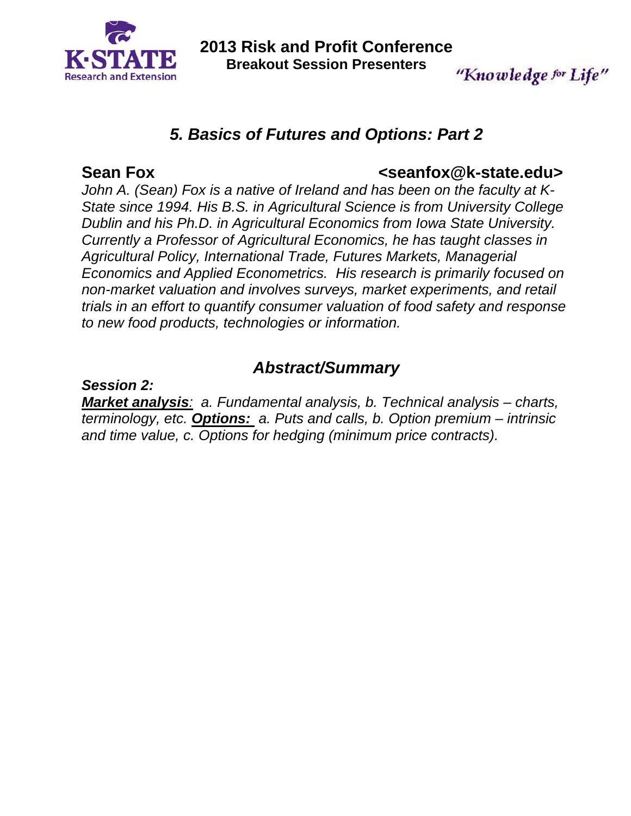

**2013 Risk and Profit Conference Breakout Session Presenters** 

## "Knowledge for Life"

## *5. Basics of Futures and Options: Part 2*

### Sean Fox **Construction Construction Construction Construction Construction Construction Construction Construction**

*John A. (Sean) Fox is a native of Ireland and has been on the faculty at K-State since 1994. His B.S. in Agricultural Science is from University College Dublin and his Ph.D. in Agricultural Economics from Iowa State University. Currently a Professor of Agricultural Economics, he has taught classes in Agricultural Policy, International Trade, Futures Markets, Managerial Economics and Applied Econometrics. His research is primarily focused on non-market valuation and involves surveys, market experiments, and retail trials in an effort to quantify consumer valuation of food safety and response to new food products, technologies or information.* 

## *Abstract/Summary*

*Session 2:* 

*Market analysis: a. Fundamental analysis, b. Technical analysis – charts, terminology, etc. Options: a. Puts and calls, b. Option premium – intrinsic and time value, c. Options for hedging (minimum price contracts).*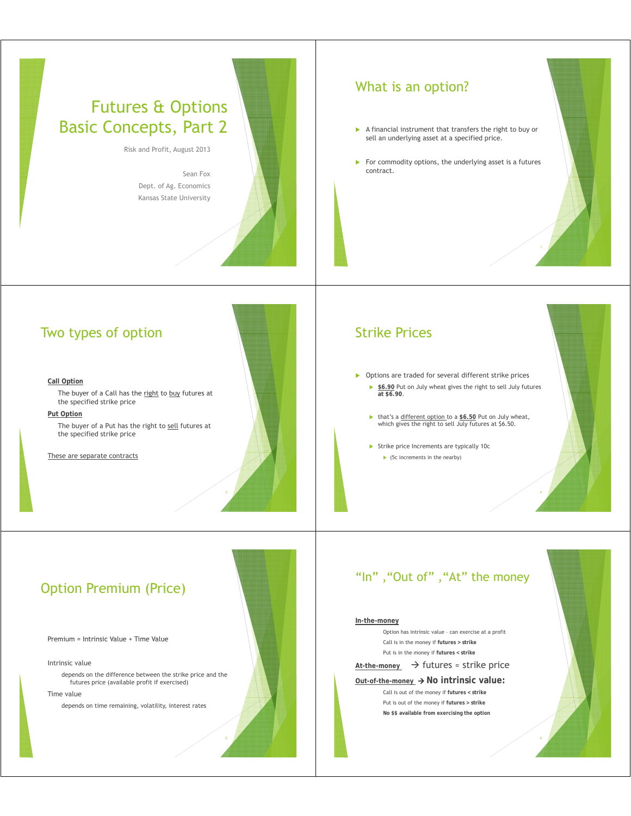## Futures & Options Basic Concepts, Part 2

Risk and Profit, August 2013

Sean Fox Dept. of Ag. Economics Kansas State University

### What is an option?

- $\blacktriangleright$  A financial instrument that transfers the right to buy or sell an underlying asset at a specified price.
- $\blacktriangleright$  For commodity options, the underlying asset is a futures contract.

### Two types of option

#### **Call Option**

The buyer of a Call has the right to buy futures at the specified strike price

#### **Put Option**

The buyer of a Put has the right to sell futures at the specified strike price

These are separate contracts

#### Strike Prices

- $\triangleright$  Options are traded for several different strike prices ▶ \$6.90 Put on July wheat gives the right to sell July futures **at \$6 90 t \$6.90**.
	- ▶ that's a different option to a \$6.50 Put on July wheat, which gives the right to sell July futures at \$6.50.
	- $\triangleright$  Strike price Increments are typically 10c  $\triangleright$  (5c increments in the nearby)

# "In", "Out of", "At" the money

#### **In-the-money**

Option has intrinsic value – can exercise at a profit Call is in the money if **futures > strike** Put is in the money if **futures < strike**

#### At-the-money → futures ≈ strike price

**<u>Out-of-the-money</u> → No intrinsic value:** 

Call is out of the money if **futures < strike** Put is out of the money if **futures > strike No \$\$ available from exercising the option**



4

## Option Premium (Price)

Premium = Intrinsic Value + Time Value

#### Intrinsic value

depends on the difference between the strike price and the futures price (available profit if exercised)

#### Time value

depends on time remaining, volatility, interest rates



5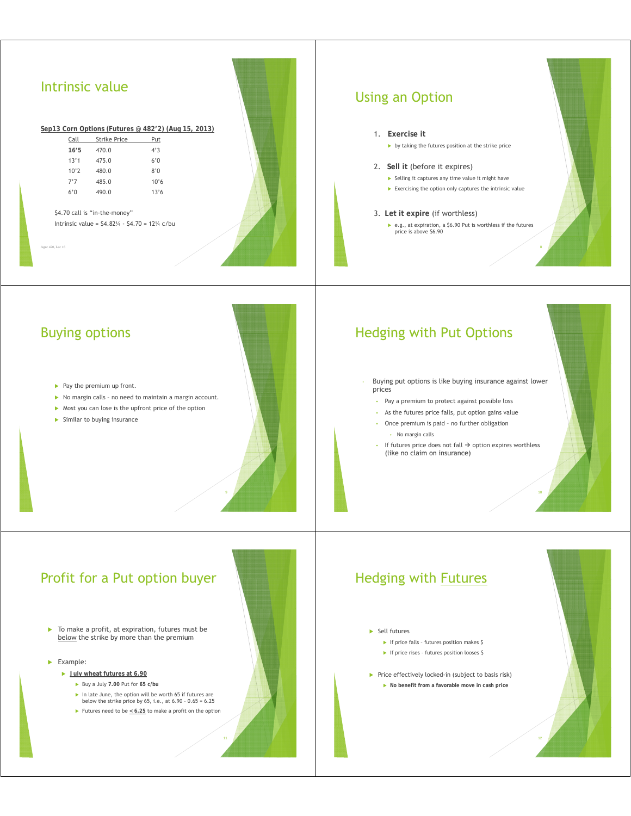| Intrinsic value<br>Sep13 Corn Options (Futures @ 482'2) (Aug 15, 2013)<br>Call<br>Strike Price<br>Put<br>470.0<br>4'3<br>16'5<br>475.0<br>6'0<br>13'1<br>10'2<br>480.0<br>8'0<br>7'7<br>485.0<br>10'6<br>6'0<br>490.0<br>13'6<br>\$4.70 call is "in-the-money"<br>Intrinsic value = $$4.82\%$ - $$4.70$ = 12% c/bu<br>Age: 420 Lec 16                                                                                                                | <b>Using an Option</b><br>1. Exercise it<br>by taking the futures position at the strike price<br>2. Sell it (before it expires)<br>Selling it captures any time value it might have<br>Exercising the option only captures the intrinsic value<br>3. Let it expire (if worthless)<br>▶ e.g., at expiration, a \$6.90 Put is worthless if the futures<br>price is above \$6.90                       |
|------------------------------------------------------------------------------------------------------------------------------------------------------------------------------------------------------------------------------------------------------------------------------------------------------------------------------------------------------------------------------------------------------------------------------------------------------|------------------------------------------------------------------------------------------------------------------------------------------------------------------------------------------------------------------------------------------------------------------------------------------------------------------------------------------------------------------------------------------------------|
| <b>Buying options</b><br>$\blacktriangleright$ Pay the premium up front.<br>No margin calls - no need to maintain a margin account.<br>> Most you can lose is the upfront price of the option<br>> Similar to buying insurance                                                                                                                                                                                                                       | <b>Hedging with Put Options</b><br>Buying put options is like buying insurance against lower<br>prices<br>• Pay a premium to protect against possible loss<br>• As the futures price falls, put option gains value<br>• Once premium is paid - no further obligation<br>• No margin calls<br>• If futures price does not fall $\rightarrow$ option expires worthless<br>(like no claim on insurance) |
| Profit for a Put option buyer<br>To make a profit, at expiration, futures must be<br>×.<br>below the strike by more than the premium<br>$\blacktriangleright$ Example:<br>Ully wheat futures at 6.90<br>Buy a July 7.00 Put for 65 c/bu<br>$\triangleright$ In late June, the option will be worth 65 if futures are<br>below the strike price by 65, i.e., at $6.90 - 0.65 = 6.25$<br>Futures need to be $\leq 6.25$ to make a profit on the option | <b>Hedging with Futures</b><br>$\blacktriangleright$ Sell futures<br>If price falls - futures position makes \$<br>If price rises - futures position looses \$<br>Price effectively locked-in (subject to basis risk)<br>No benefit from a favorable move in cash price                                                                                                                              |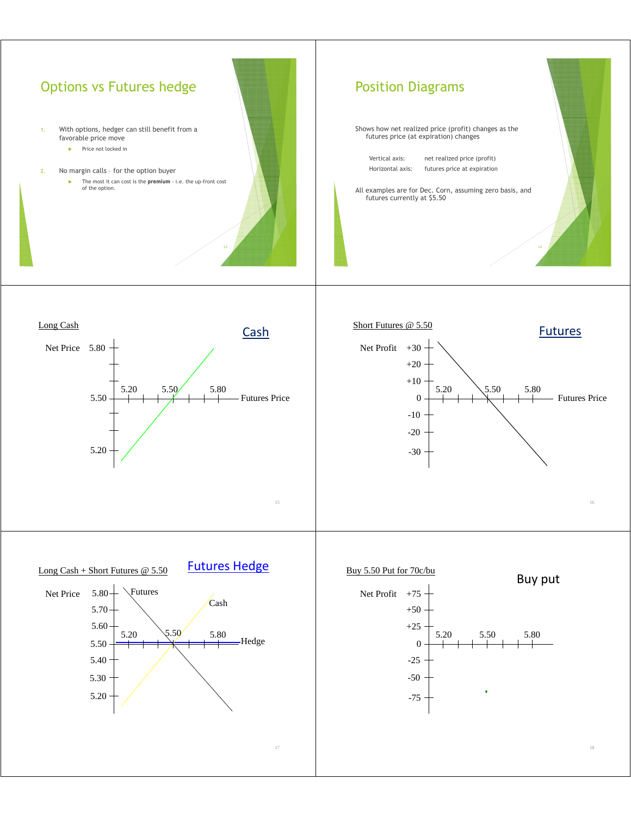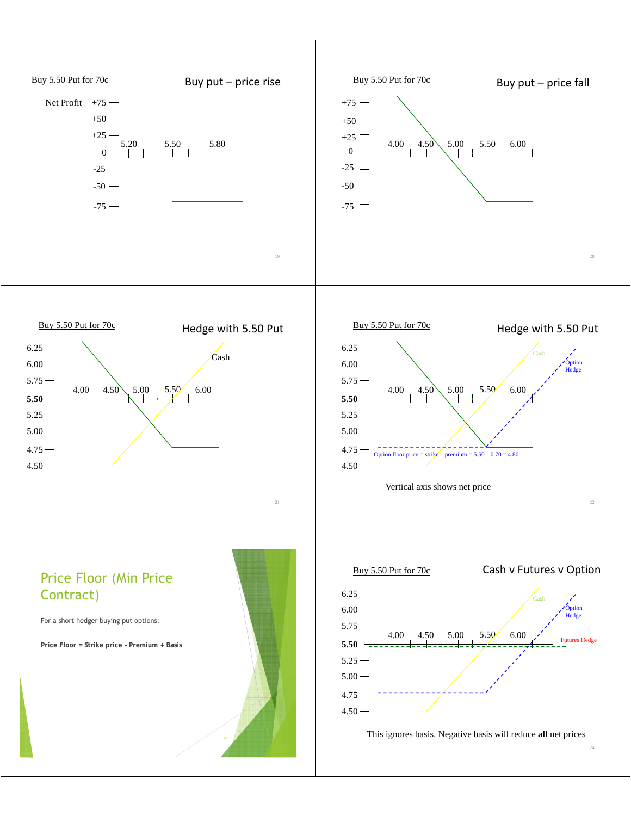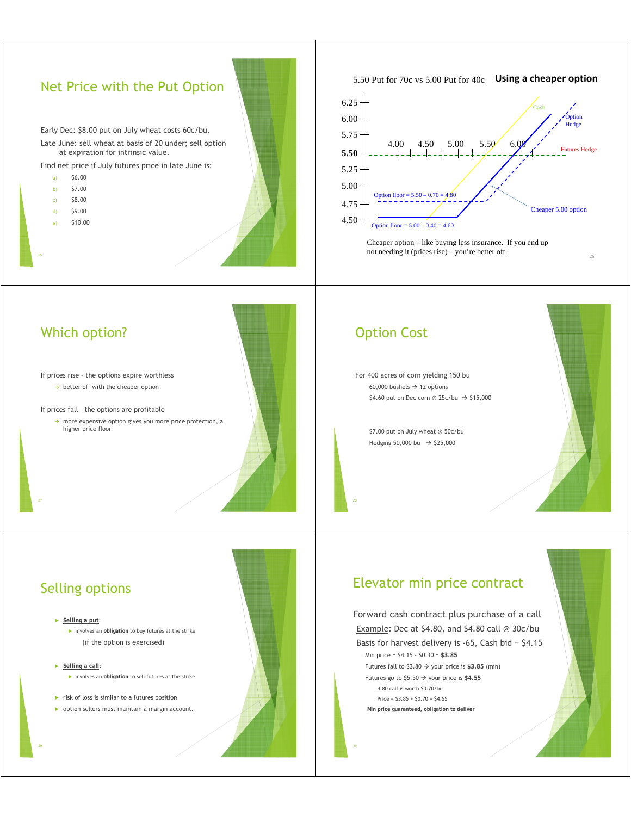### Net Price with the Put Option

Early Dec: \$8.00 put on July wheat costs 60c/bu. Late June: sell wheat at basis of 20 under; sell option

at expiration for intrinsic value.

Find net price if July futures price in late June is:

- a)  $$6.00$ b)  $$7.00$ c) \$8.00  $\frac{d}{d}$   $\frac{d}{d}$   $\frac{d}{d}$
- e) \$10.00





Cheaper option – like buying less insurance. If you end up not needing it (prices rise) – you're better off.

### Which option?

If prices rise – the options expire worthless  $\rightarrow$  better off with the cheaper option

If prices fall – the options are profitable

 $\rightarrow$  more expensive option gives you more price protection, a higher price floor

#### Option Cost

For 400 acres of corn yielding 150 bu 60,000 bushels  $\rightarrow$  12 options  $$4.60$  put on Dec corn @ 25c/bu  $\rightarrow$  \$15,000

\$7.00 put on July wheat @ 50c/bu Hedging 50,000 bu  $\rightarrow$  \$25,000



26

### Elevator min price contract

Forward cash contract plus purchase of a call Example: Dec at \$4.80, and \$4.80 call @ 30c/bu Basis for harvest delivery is -65, Cash bid = \$4.15 Min price = \$4.15 - \$0.30 = **\$3.85** Futures fall to  $$3.80 \rightarrow$  your price is \$3.85 (min) Futures go to  $$5.50 \rightarrow$  your price is \$4.55 4.80 call is worth \$0.70/bu Price =  $$3.85 + $0.70 = $4.55$ **Min price guaranteed, obligation to deliver**

### Selling options

#### Selling a put:

**EX involves an** *obligation* to buy futures at the strike (if the option is exercised)

#### ▶ **Selling a call**:

**EX involves an obligation to sell futures at the strike** 

- $\blacktriangleright$  risk of loss is similar to a futures position
- $\triangleright$  option sellers must maintain a margin account.



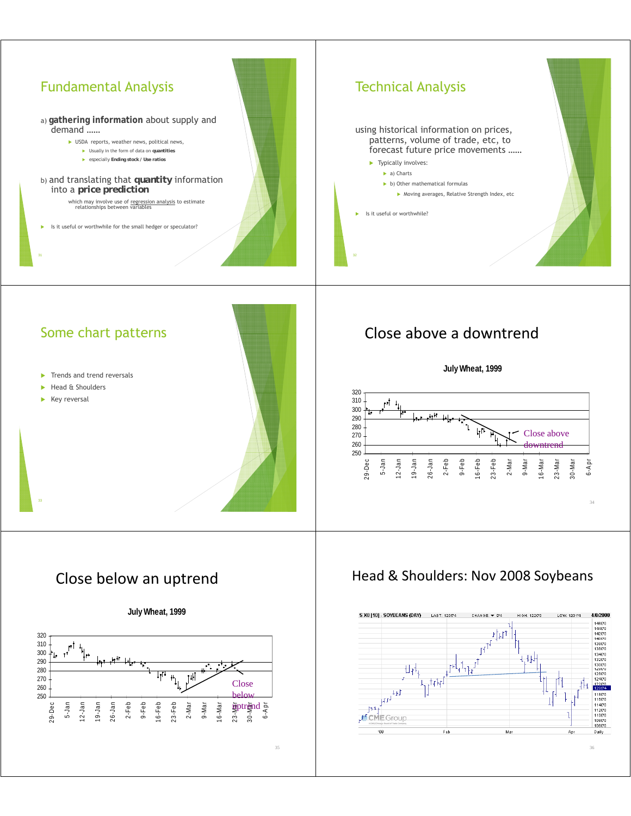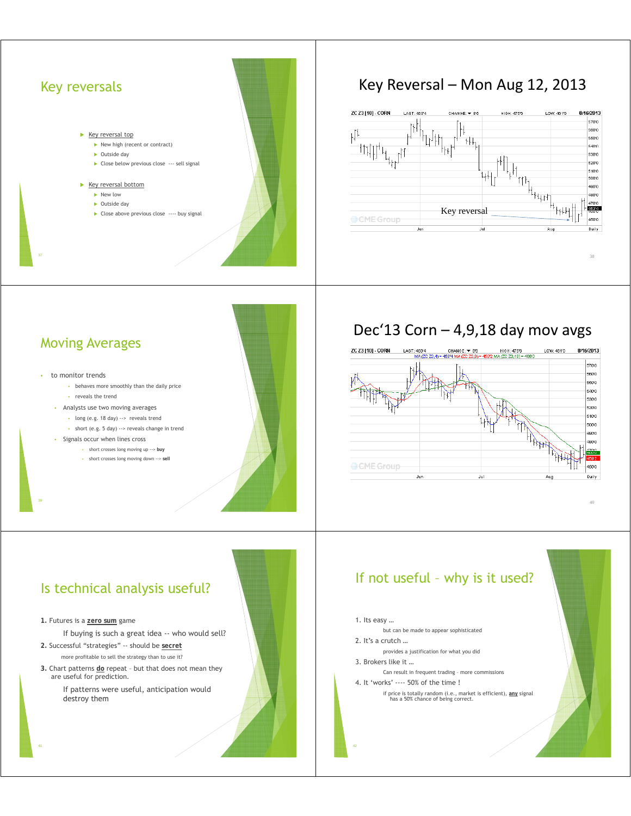# Key reversals Key reversal top  $\blacktriangleright$  New high (recent or contract)  $\triangleright$  Outside day  $\triangleright$  Close below previous close  $\cdots$  sell signal  $\blacktriangleright$  Key reversal bottom  $\blacktriangleright$  New low  $\triangleright$  Outside day Close above previous close ---- buy signal

## Key Reversal – Mon Aug 12, 2013



### Moving Averages

#### to monitor trends

- behaves more smoothly than the daily price • reveals the trend
- Analysts use two moving averages
	- long (e.g. 18 day) --> reveals trend
	- short (e.g. 5 day) --> reveals change in trend
- Signals occur when lines cross
	- short crosses long moving up --> **buy**
	- short crosses long moving down --> **sell**

## Dec'13 Corn  $-$  4,9,18 day mov avgs



40

### Is technical analysis useful?

**1.** Futures is a **zero sum** game

If buying is such a great idea -- who would sell?

- **2.** Successful "strategies" -- should be **secret** more profitable to sell the strategy than to use it?
- **3 .** Chart patterns **do** repeat but that does not mean they are useful for prediction.

If patterns were useful, anticipation would destroy them

### If not useful – why is it used?

#### 1. Its easy …

- but can be made to appear sophisticated
- 2. It's a crutch ...
- provides a justification for what you did
- 3. Brokers like it …
- Can result in frequent trading more commissions
- 4. It 'works' ---- 50% of the time !
	- if price is totally random (i.e., market is efficient), **any** signal has a 50% chance of being correct.